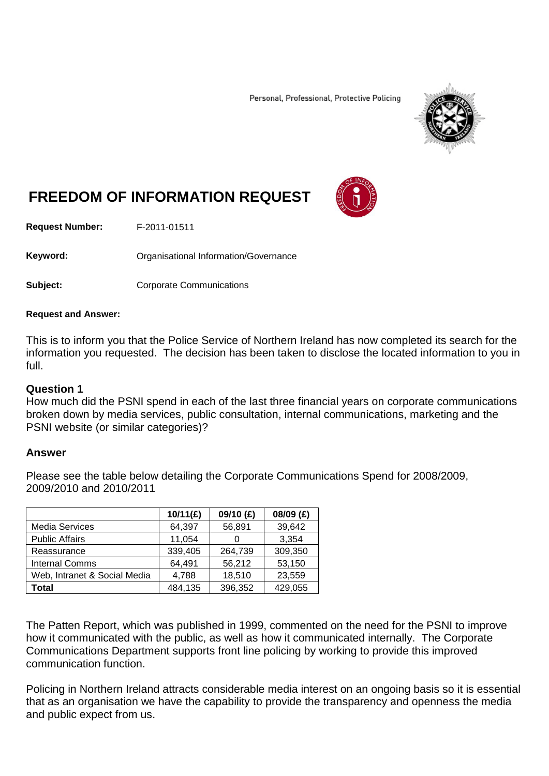Personal, Professional, Protective Policing



# **FREEDOM OF INFORMATION REQUEST**

**Request Number:** F-2011-01511

Keyword: **Communistry Communists** Organisational Information/Governance

**Subject:** Corporate Communications

#### **Request and Answer:**

This is to inform you that the Police Service of Northern Ireland has now completed its search for the information you requested. The decision has been taken to disclose the located information to you in full.

### **Question 1**

How much did the PSNI spend in each of the last three financial years on corporate communications broken down by media services, public consultation, internal communications, marketing and the PSNI website (or similar categories)?

### **Answer**

Please see the table below detailing the Corporate Communications Spend for 2008/2009, 2009/2010 and 2010/2011

|                              | 10/11(E) | 09/10 (£) | 08/09 (£) |
|------------------------------|----------|-----------|-----------|
| Media Services               | 64,397   | 56,891    | 39,642    |
| <b>Public Affairs</b>        | 11,054   |           | 3,354     |
| Reassurance                  | 339,405  | 264,739   | 309,350   |
| <b>Internal Comms</b>        | 64,491   | 56,212    | 53,150    |
| Web, Intranet & Social Media | 4,788    | 18,510    | 23,559    |
| Total                        | 484,135  | 396,352   | 429,055   |

The Patten Report, which was published in 1999, commented on the need for the PSNI to improve how it communicated with the public, as well as how it communicated internally. The Corporate Communications Department supports front line policing by working to provide this improved communication function.

Policing in Northern Ireland attracts considerable media interest on an ongoing basis so it is essential that as an organisation we have the capability to provide the transparency and openness the media and public expect from us.